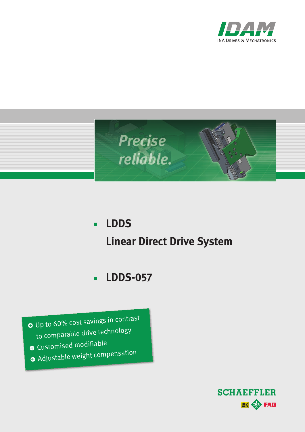



### **LDDS**  $\blacksquare$ **Linear Direct Drive System**

#### **LDDS-057**  $\blacksquare$

O Up to 60% cost savings in contrast to comparable drive technology

- O Customised modifiable
- O Adjustable weight compensation

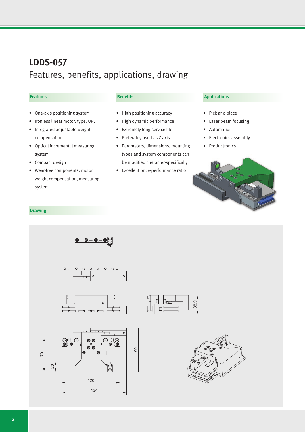## **LDDS-057** Features, benefits, applications, drawing

#### **Features**

- • One-axis positioning system
- Ironless linear motor, type: UPL
- • Integrated adjustable weight compensation
- • Optical incremental measuring system
- Compact design
- • Wear-free components: motor, weight compensation, measuring system

#### **Benefits**

- • High positioning accuracy
- • High dynamic performance
- • Extremely long service life
- Preferably used as Z-axis
- • Parameters, dimensions, mounting types and system components can be modified customer-specifically
- • Excellent price-performance ratio

### **Applications**

- • Pick and place
- Laser beam focusing
- **Automation**
- Electronics assembly
- • Productronics



#### **Drawing**

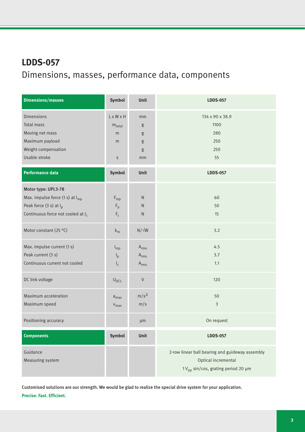# **LDDS-057** Dimensions, masses, performance data, components

| <b>Dimensions/masses</b>                      | Symbol                    | <b>Unit</b>      | <b>LDDS-057</b>                                 |
|-----------------------------------------------|---------------------------|------------------|-------------------------------------------------|
| <b>Dimensions</b>                             | $L \times W \times H$     | mm               | 134 x 90 x 38.9                                 |
| <b>Total mass</b>                             | $m_{total}$               | g                | 1100                                            |
| Moving net mass                               | m                         | g                | 280                                             |
| Maximum payload                               | m                         | g                | 250                                             |
| Weight compensation                           |                           | g                | 250                                             |
| Usable stroke                                 | $\sf S$                   | mm               | 55                                              |
| <b>Performance data</b>                       | Symbol                    | Unit             | <b>LDDS-057</b>                                 |
| Motor type: UPL3-78                           |                           |                  |                                                 |
| Max. impulse force $(1 s)$ at $I_{mp}$        | $F_{mp}$                  | ${\sf N}$        | 60                                              |
| Peak force $(3 s)$ at $I_p$                   | $F_p$                     | ${\sf N}$        | 50                                              |
| Continuous force not cooled at I <sub>c</sub> | $\mathsf{F}_{\mathsf{c}}$ | $\mathsf{N}$     | 15                                              |
| Motor constant (25 °C)                        | $k_m$                     | $N/\sqrt{W}$     | 3.2                                             |
| Max. impulse current (1 s)                    | $I_{mp}$                  | $A_{rms}$        | 4.5                                             |
| Peak current (3 s)                            | $I_p$                     | $A_{rms}$        | 3.7                                             |
| Continuous current not cooled                 | $I_c$                     | $A_{rms}$        | 1.1                                             |
| DC link voltage                               | $U_{DCL}$                 | $\mathsf V$      | 120                                             |
| Maximum acceleration                          | $a_{\text{max}}$          | m/s <sup>2</sup> | 50                                              |
| Maximum speed                                 | $V_{max}$                 | m/s              | $\mathfrak{Z}$                                  |
| Positioning accuracy                          |                           | µm               | On request                                      |
| <b>Components</b>                             | <b>Symbol</b>             | Unit             | <b>LDDS-057</b>                                 |
| Guidance                                      |                           |                  | 2-row linear ball bearing and guideway assembly |
| Measuring system                              |                           |                  | Optical incremental                             |
|                                               |                           |                  | 1V <sub>pp</sub> sin/cos, grating period 20 µm  |

Customised solutions are our strength. We would be glad to realize the special drive system for your application. **Precise. Fast. Efficient.**